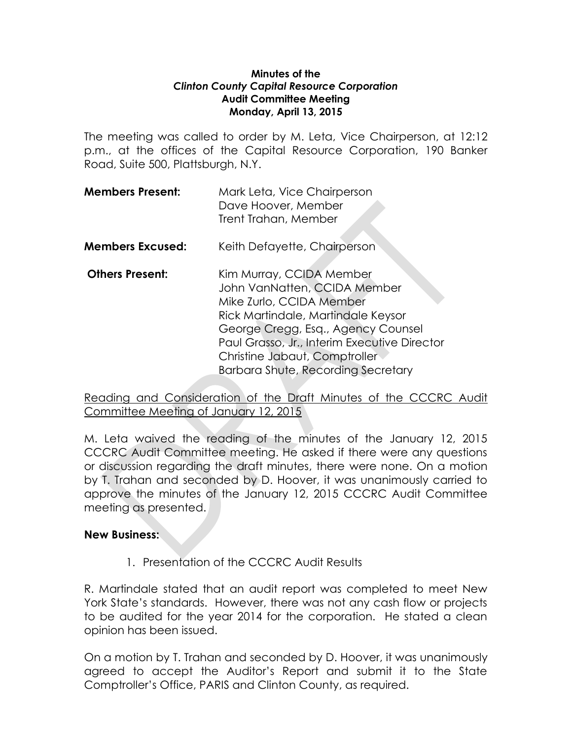## **Minutes of the**  *Clinton County Capital Resource Corporation* **Audit Committee Meeting Monday, April 13, 2015**

The meeting was called to order by M. Leta, Vice Chairperson, at 12:12 p.m., at the offices of the Capital Resource Corporation, 190 Banker Road, Suite 500, Plattsburgh, N.Y.

| <b>Members Present:</b> | Mark Leta, Vice Chairperson<br>Dave Hoover, Member<br>Trent Trahan, Member |
|-------------------------|----------------------------------------------------------------------------|
| <b>Members Excused:</b> | Keith Defayette, Chairperson                                               |
| <b>Others Present:</b>  | Kim Murray, CCIDA Member<br>.                                              |

John VanNatten, CCIDA Member Mike Zurlo, CCIDA Member Rick Martindale, Martindale Keysor George Cregg, Esq., Agency Counsel Paul Grasso, Jr., Interim Executive Director Christine Jabaut, Comptroller Barbara Shute, Recording Secretary

Reading and Consideration of the Draft Minutes of the CCCRC Audit Committee Meeting of January 12, 2015

M. Leta waived the reading of the minutes of the January 12, 2015 CCCRC Audit Committee meeting. He asked if there were any questions or discussion regarding the draft minutes, there were none. On a motion by T. Trahan and seconded by D. Hoover, it was unanimously carried to approve the minutes of the January 12, 2015 CCCRC Audit Committee meeting as presented.

## **New Business:**

1. Presentation of the CCCRC Audit Results

R. Martindale stated that an audit report was completed to meet New York State's standards. However, there was not any cash flow or projects to be audited for the year 2014 for the corporation. He stated a clean opinion has been issued.

On a motion by T. Trahan and seconded by D. Hoover, it was unanimously agreed to accept the Auditor's Report and submit it to the State Comptroller's Office, PARIS and Clinton County, as required.